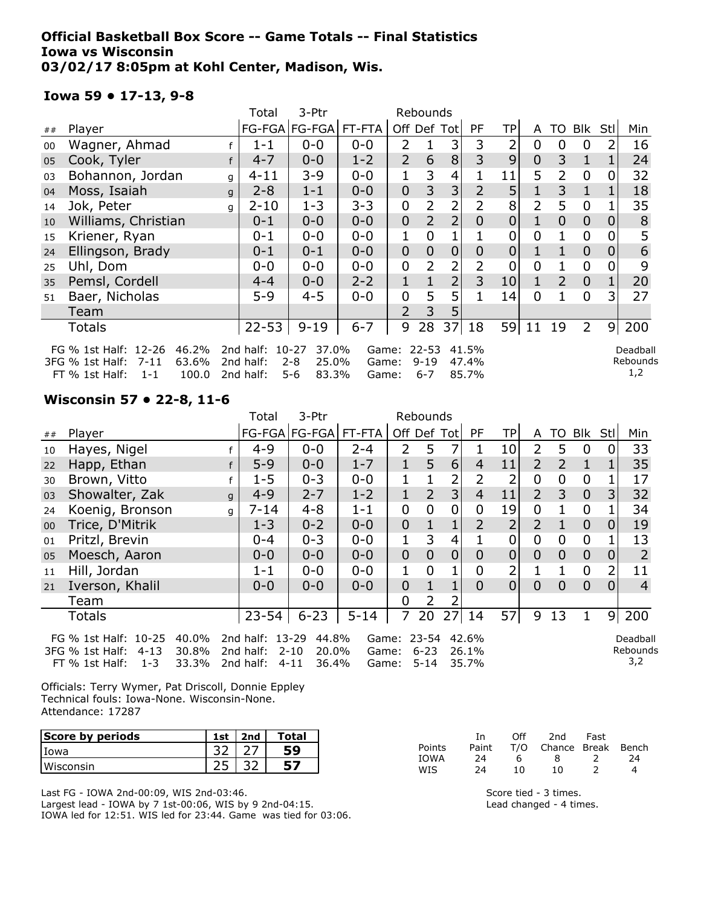### Official Basketball Box Score -- Game Totals -- Final Statistics Iowa vs Wisconsin 03/02/17 8:05pm at Kohl Center, Madison, Wis.

### Iowa 59 • 17-13, 9-8

|    |                                                                                                                                                                                                                                                                                                                                     |   | Total     | 3-Ptr                |         |                |                |                |                |             |                |                |                |                |     |
|----|-------------------------------------------------------------------------------------------------------------------------------------------------------------------------------------------------------------------------------------------------------------------------------------------------------------------------------------|---|-----------|----------------------|---------|----------------|----------------|----------------|----------------|-------------|----------------|----------------|----------------|----------------|-----|
| ## | Player                                                                                                                                                                                                                                                                                                                              |   |           | FG-FGA FG-FGA FT-FTA |         |                | Off Def Tot    |                | PF             | TP          | A              |                | TO Blk         | Stl            | Min |
| 00 | Wagner, Ahmad                                                                                                                                                                                                                                                                                                                       |   | $1 - 1$   | $0 - 0$              | $0 - 0$ | 2              |                | 3              | 3              | 2           | $\mathbf 0$    | 0              | $\mathbf 0$    | 2              | 16  |
| 05 | Cook, Tyler                                                                                                                                                                                                                                                                                                                         | f | $4 - 7$   | $0 - 0$              | $1 - 2$ | $\overline{2}$ | 6              | 8              | 3              | 9           | $\overline{0}$ | 3              | $\mathbf{1}$   |                | 24  |
| 03 | Bohannon, Jordan                                                                                                                                                                                                                                                                                                                    | q | $4 - 11$  | $3 - 9$              | $0 - 0$ |                | 3              | 4              |                | 11          | 5              | 2              | $\mathbf 0$    | 0              | 32  |
| 04 | Moss, Isaiah                                                                                                                                                                                                                                                                                                                        | q | $2 - 8$   | $1 - 1$              | $0 - 0$ | $\overline{0}$ | 3              | 3              | $\overline{2}$ | 5           | 1              | 3              | $\mathbf{1}$   |                | 18  |
| 14 | Jok, Peter                                                                                                                                                                                                                                                                                                                          | q | $2 - 10$  | $1 - 3$              | $3 - 3$ | 0              | 2              | 2              |                | 8           | 2              | 5              | $\mathbf 0$    |                | 35  |
| 10 | Williams, Christian                                                                                                                                                                                                                                                                                                                 |   | $0 - 1$   | $0 - 0$              | $0 - 0$ | $\overline{0}$ | $\overline{2}$ | $\overline{2}$ | $\overline{0}$ | $\mathbf 0$ |                | $\overline{0}$ | $\overline{0}$ | 0              | 8   |
| 15 | Kriener, Ryan                                                                                                                                                                                                                                                                                                                       |   | $0 - 1$   | $0 - 0$              | $0 - 0$ | 1              | 0              |                |                | 0           | 0              |                | $\mathbf 0$    |                | 5   |
| 24 | Ellingson, Brady                                                                                                                                                                                                                                                                                                                    |   | $0 - 1$   | $0 - 1$              | $0 - 0$ | $\mathbf 0$    | $\overline{0}$ | $\overline{0}$ | 0              | $\mathbf 0$ |                |                | $\Omega$       | $\Omega$       | 6   |
| 25 | Uhl, Dom                                                                                                                                                                                                                                                                                                                            |   | $0 - 0$   | $0 - 0$              | $0 - 0$ | 0              | 2              | 2              |                | 0           | 0              |                | $\mathbf 0$    |                | 9   |
| 35 | Pemsl, Cordell                                                                                                                                                                                                                                                                                                                      |   | $4 - 4$   | $0 - 0$              | $2 - 2$ | 1              |                | $\overline{2}$ | 3              | 10          | 1              | 2              | $\overline{0}$ |                | 20  |
| 51 | Baer, Nicholas                                                                                                                                                                                                                                                                                                                      |   | $5 - 9$   | $4 - 5$              | $0 - 0$ | 0              | 5              | 5              |                | 14          | 0              |                | $\mathbf 0$    | 3              | 27  |
|    | Team                                                                                                                                                                                                                                                                                                                                |   |           |                      |         | $\overline{2}$ | 3              | 5              |                |             |                |                |                |                |     |
|    | <b>Totals</b>                                                                                                                                                                                                                                                                                                                       |   | $22 - 53$ | $9 - 19$             | $6 - 7$ | 9              | 28             | 37             | 18             | 59          | 11             | 19             | $\overline{2}$ | $\overline{9}$ | 200 |
|    | FG % 1st Half: 12-26<br>46.2%<br>$10-27$<br>37.0%<br>$22 - 53$<br>2nd half:<br>41.5%<br>Deadball<br>Game:<br>Rebounds<br>63.6%<br>2nd half:<br>$2 - 8$<br>25.0%<br>3FG % 1st Half:<br>$7 - 11$<br>$9 - 19$<br>47.4%<br>Game:<br>1,2<br>83.3%<br>85.7%<br>FT % 1st Half:<br>100.0<br>2nd half:<br>5-6<br>$1 - 1$<br>$6 - 7$<br>Game: |   |           |                      |         |                |                |                |                |             |                |                |                |                |     |

### Wisconsin 57 • 22-8, 11-6

|        |                                                                                                                                                                                                                                                                                                                                   |   | Total     | 3-Ptr                    | Rebounds |                |                |                 |                |                |                |                |                |                |                |
|--------|-----------------------------------------------------------------------------------------------------------------------------------------------------------------------------------------------------------------------------------------------------------------------------------------------------------------------------------|---|-----------|--------------------------|----------|----------------|----------------|-----------------|----------------|----------------|----------------|----------------|----------------|----------------|----------------|
| ##     | Player                                                                                                                                                                                                                                                                                                                            |   |           | FG-FGA   FG-FGA   FT-FTA |          | Off Def Tot    |                |                 | <b>PF</b>      | TPI            | A              | TO             | Blk            | Stl            | Min            |
| 10     | Hayes, Nigel                                                                                                                                                                                                                                                                                                                      |   | $4 - 9$   | $0 - 0$                  | $2 - 4$  | 2              | 5              | 7               |                | 10             | 2              | 5              | $\mathbf{0}$   |                | 33             |
| 22     | Happ, Ethan                                                                                                                                                                                                                                                                                                                       |   | $5 - 9$   | $0 - 0$                  | $1 - 7$  |                | 5              | 6               | $\overline{4}$ | 11             | $\overline{2}$ | $\overline{2}$ | $\mathbf{1}$   |                | 35             |
| 30     | Brown, Vitto                                                                                                                                                                                                                                                                                                                      |   | $1 - 5$   | $0 - 3$                  | $0 - 0$  |                |                | 2               |                |                | $\mathbf 0$    | 0              | $\mathbf 0$    |                | 17             |
| 03     | Showalter, Zak                                                                                                                                                                                                                                                                                                                    | q | $4 - 9$   | $2 - 7$                  | $1 - 2$  | 1              | $\overline{2}$ | 3 <sup>1</sup>  | $\overline{4}$ | 11             | $\overline{2}$ | 3              | $\overline{0}$ | 3              | 32             |
| 24     | Koenig, Bronson                                                                                                                                                                                                                                                                                                                   | q | $7 - 14$  | $4 - 8$                  | $1 - 1$  | 0              | 0              | 0               | 0              | 19             | 0              |                | $\overline{0}$ |                | 34             |
| $00\,$ | Trice, D'Mitrik                                                                                                                                                                                                                                                                                                                   |   | $1 - 3$   | $0 - 2$                  | $0 - 0$  | $\overline{0}$ |                |                 | $\overline{2}$ | $\overline{2}$ | $\overline{2}$ |                | $\overline{0}$ | $\overline{0}$ | 19             |
| 01     | Pritzl, Brevin                                                                                                                                                                                                                                                                                                                    |   | $0 - 4$   | $0 - 3$                  | $0 - 0$  |                | 3              | 4               |                | 0              | $\mathbf 0$    | 0              | $\mathbf 0$    |                | 13             |
| 05     | Moesch, Aaron                                                                                                                                                                                                                                                                                                                     |   | $0 - 0$   | $0 - 0$                  | $0 - 0$  | $\mathbf 0$    | $\overline{0}$ | $\overline{0}$  | 0              | $\overline{0}$ | $\overline{0}$ | $\overline{0}$ | $\mathbf 0$    | 0              | $\overline{2}$ |
| 11     | Hill, Jordan                                                                                                                                                                                                                                                                                                                      |   | $1 - 1$   | $0 - 0$                  | $0 - 0$  | 1              | 0              |                 | 0              | 2              |                | 1.             | $\overline{0}$ | 2              | 11             |
| 21     | Iverson, Khalil                                                                                                                                                                                                                                                                                                                   |   | $0 - 0$   | $0 - 0$                  | $0 - 0$  | $\overline{0}$ |                | 1               | 0              | $\Omega$       | $\Omega$       | $\Omega$       | $\overline{0}$ | $\Omega$       | $\overline{4}$ |
|        | Team                                                                                                                                                                                                                                                                                                                              |   |           |                          |          | $\Omega$       | 2              |                 |                |                |                |                |                |                |                |
|        | <b>Totals</b>                                                                                                                                                                                                                                                                                                                     |   | $23 - 54$ | $6 - 23$                 | $5 - 14$ | 7              | 20             | 27 <sub>l</sub> | 14             | 57             | 9              | 13             | 1              | $\overline{9}$ | 200            |
|        | FG % 1st Half: 10-25<br>40.0%<br>2nd half: 13-29<br>23-54<br>42.6%<br>44.8%<br>Deadball<br>Game:<br>$6 - 23$<br>Rebounds<br>3FG % 1st Half:<br>30.8%<br>2nd half:<br>$2 - 10$<br>20.0%<br>26.1%<br>$4 - 13$<br>Game:<br>3,2<br>33.3%<br>36.4%<br>35.7%<br>FT % 1st Half:<br>$1 - 3$<br>2nd half:<br>$4 - 11$<br>$5 - 14$<br>Game: |   |           |                          |          |                |                |                 |                |                |                |                |                |                |                |

Officials: Terry Wymer, Pat Driscoll, Donnie Eppley Technical fouls: Iowa-None. Wisconsin-None. Attendance: 17287

| Score by periods | 1st | $ $ 2nd | Total |
|------------------|-----|---------|-------|
| l Iowa           |     |         |       |
| l Wisconsin      |     |         |       |

Last FG - IOWA 2nd-00:09, WIS 2nd-03:46. Largest lead - IOWA by 7 1st-00:06, WIS by 9 2nd-04:15. IOWA led for 12:51. WIS led for 23:44. Game was tied for 03:06.

|        | Ιn.   | ∩ff | 2nd                    | Fast |    |
|--------|-------|-----|------------------------|------|----|
| Points | Paint |     | T/O Chance Break Bench |      |    |
| IOWA   | 24    | ь   | я                      |      | 24 |
| WIS    | 24    | 10. | 10                     |      |    |

Score tied - 3 times. Lead changed - 4 times.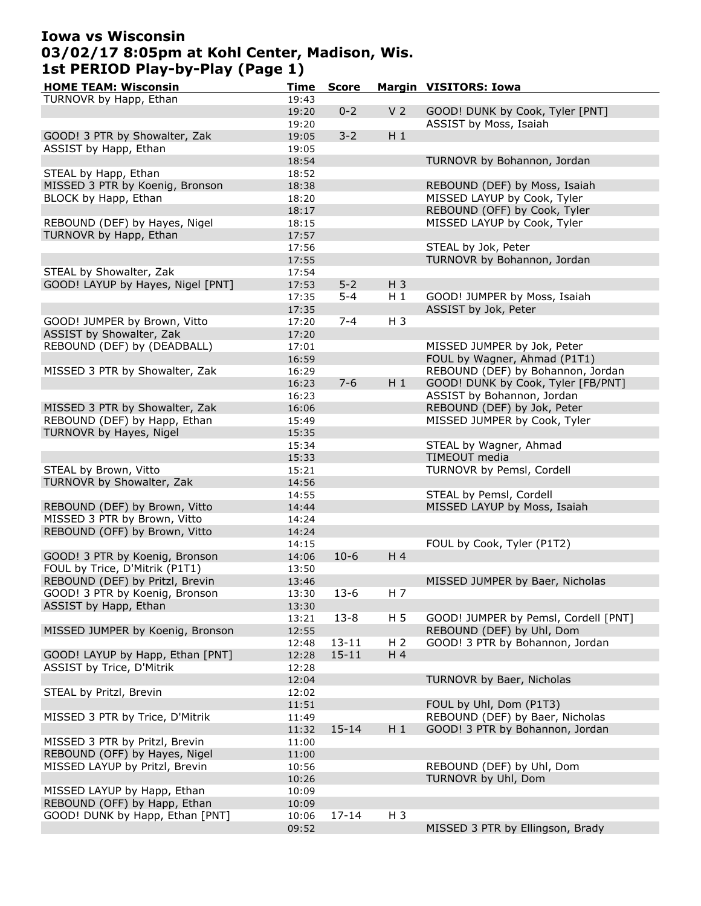# Iowa vs Wisconsin 03/02/17 8:05pm at Kohl Center, Madison, Wis. 1st PERIOD Play-by-Play (Page 1)

| <b>HOME TEAM: Wisconsin</b>       | Time  | <b>Score</b> |                | <b>Margin VISITORS: Iowa</b>         |
|-----------------------------------|-------|--------------|----------------|--------------------------------------|
| TURNOVR by Happ, Ethan            | 19:43 |              |                |                                      |
|                                   | 19:20 | $0 - 2$      | V <sub>2</sub> | GOOD! DUNK by Cook, Tyler [PNT]      |
|                                   | 19:20 |              |                | ASSIST by Moss, Isaiah               |
| GOOD! 3 PTR by Showalter, Zak     | 19:05 | $3 - 2$      | $H_1$          |                                      |
| ASSIST by Happ, Ethan             | 19:05 |              |                |                                      |
|                                   |       |              |                |                                      |
|                                   | 18:54 |              |                | TURNOVR by Bohannon, Jordan          |
| STEAL by Happ, Ethan              | 18:52 |              |                |                                      |
| MISSED 3 PTR by Koenig, Bronson   | 18:38 |              |                | REBOUND (DEF) by Moss, Isaiah        |
| BLOCK by Happ, Ethan              | 18:20 |              |                | MISSED LAYUP by Cook, Tyler          |
|                                   | 18:17 |              |                | REBOUND (OFF) by Cook, Tyler         |
| REBOUND (DEF) by Hayes, Nigel     | 18:15 |              |                | MISSED LAYUP by Cook, Tyler          |
| TURNOVR by Happ, Ethan            | 17:57 |              |                |                                      |
|                                   | 17:56 |              |                | STEAL by Jok, Peter                  |
|                                   | 17:55 |              |                | TURNOVR by Bohannon, Jordan          |
| STEAL by Showalter, Zak           | 17:54 |              |                |                                      |
| GOOD! LAYUP by Hayes, Nigel [PNT] |       | $5 - 2$      |                |                                      |
|                                   | 17:53 |              | $H_3$          |                                      |
|                                   | 17:35 | $5 - 4$      | $H_1$          | GOOD! JUMPER by Moss, Isaiah         |
|                                   | 17:35 |              |                | ASSIST by Jok, Peter                 |
| GOOD! JUMPER by Brown, Vitto      | 17:20 | $7 - 4$      | $H_3$          |                                      |
| ASSIST by Showalter, Zak          | 17:20 |              |                |                                      |
| REBOUND (DEF) by (DEADBALL)       | 17:01 |              |                | MISSED JUMPER by Jok, Peter          |
|                                   | 16:59 |              |                | FOUL by Wagner, Ahmad (P1T1)         |
| MISSED 3 PTR by Showalter, Zak    | 16:29 |              |                | REBOUND (DEF) by Bohannon, Jordan    |
|                                   | 16:23 | $7 - 6$      | $H_1$          | GOOD! DUNK by Cook, Tyler [FB/PNT]   |
|                                   |       |              |                |                                      |
|                                   | 16:23 |              |                | ASSIST by Bohannon, Jordan           |
| MISSED 3 PTR by Showalter, Zak    | 16:06 |              |                | REBOUND (DEF) by Jok, Peter          |
| REBOUND (DEF) by Happ, Ethan      | 15:49 |              |                | MISSED JUMPER by Cook, Tyler         |
| TURNOVR by Hayes, Nigel           | 15:35 |              |                |                                      |
|                                   | 15:34 |              |                | STEAL by Wagner, Ahmad               |
|                                   | 15:33 |              |                | TIMEOUT media                        |
| STEAL by Brown, Vitto             | 15:21 |              |                | TURNOVR by Pemsl, Cordell            |
| TURNOVR by Showalter, Zak         | 14:56 |              |                |                                      |
|                                   | 14:55 |              |                | STEAL by Pemsl, Cordell              |
| REBOUND (DEF) by Brown, Vitto     | 14:44 |              |                | MISSED LAYUP by Moss, Isaiah         |
|                                   |       |              |                |                                      |
| MISSED 3 PTR by Brown, Vitto      | 14:24 |              |                |                                      |
| REBOUND (OFF) by Brown, Vitto     | 14:24 |              |                |                                      |
|                                   | 14:15 |              |                | FOUL by Cook, Tyler (P1T2)           |
| GOOD! 3 PTR by Koenig, Bronson    | 14:06 | $10-6$       | H <sub>4</sub> |                                      |
| FOUL by Trice, D'Mitrik (P1T1)    | 13:50 |              |                |                                      |
| REBOUND (DEF) by Pritzl, Brevin   | 13:46 |              |                | MISSED JUMPER by Baer, Nicholas      |
| GOOD! 3 PTR by Koenig, Bronson    | 13:30 | $13-6$       | H 7            |                                      |
| ASSIST by Happ, Ethan             | 13:30 |              |                |                                      |
|                                   |       | $13 - 8$     | H <sub>5</sub> | GOOD! JUMPER by Pemsl, Cordell [PNT] |
| MISSED JUMPER by Koenig, Bronson  | 13:21 |              |                |                                      |
|                                   | 12:55 |              |                | REBOUND (DEF) by Uhl, Dom            |
|                                   | 12:48 | $13 - 11$    | H <sub>2</sub> | GOOD! 3 PTR by Bohannon, Jordan      |
| GOOD! LAYUP by Happ, Ethan [PNT]  | 12:28 | $15 - 11$    | H 4            |                                      |
| ASSIST by Trice, D'Mitrik         | 12:28 |              |                |                                      |
|                                   | 12:04 |              |                | TURNOVR by Baer, Nicholas            |
| STEAL by Pritzl, Brevin           | 12:02 |              |                |                                      |
|                                   | 11:51 |              |                | FOUL by Uhl, Dom (P1T3)              |
| MISSED 3 PTR by Trice, D'Mitrik   | 11:49 |              |                | REBOUND (DEF) by Baer, Nicholas      |
|                                   | 11:32 | $15 - 14$    | $H_1$          | GOOD! 3 PTR by Bohannon, Jordan      |
|                                   |       |              |                |                                      |
| MISSED 3 PTR by Pritzl, Brevin    | 11:00 |              |                |                                      |
| REBOUND (OFF) by Hayes, Nigel     | 11:00 |              |                |                                      |
| MISSED LAYUP by Pritzl, Brevin    | 10:56 |              |                | REBOUND (DEF) by Uhl, Dom            |
|                                   | 10:26 |              |                | TURNOVR by Uhl, Dom                  |
| MISSED LAYUP by Happ, Ethan       | 10:09 |              |                |                                      |
| REBOUND (OFF) by Happ, Ethan      | 10:09 |              |                |                                      |
| GOOD! DUNK by Happ, Ethan [PNT]   | 10:06 | $17 - 14$    | $H_3$          |                                      |
|                                   | 09:52 |              |                | MISSED 3 PTR by Ellingson, Brady     |
|                                   |       |              |                |                                      |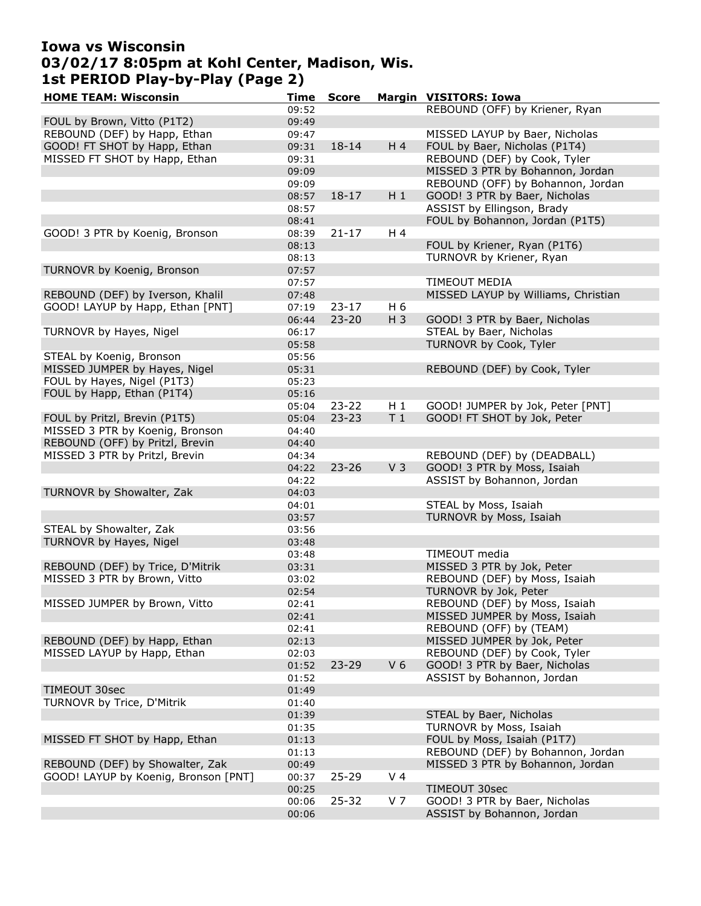## Iowa vs Wisconsin 03/02/17 8:05pm at Kohl Center, Madison, Wis. 1st PERIOD Play-by-Play (Page 2)

| <b>HOME TEAM: Wisconsin</b>          | Time  | <b>Score</b> |                | <b>Margin VISITORS: Iowa</b>        |
|--------------------------------------|-------|--------------|----------------|-------------------------------------|
|                                      | 09:52 |              |                | REBOUND (OFF) by Kriener, Ryan      |
| FOUL by Brown, Vitto (P1T2)          | 09:49 |              |                |                                     |
| REBOUND (DEF) by Happ, Ethan         | 09:47 |              |                | MISSED LAYUP by Baer, Nicholas      |
| GOOD! FT SHOT by Happ, Ethan         | 09:31 | $18 - 14$    | H 4            | FOUL by Baer, Nicholas (P1T4)       |
| MISSED FT SHOT by Happ, Ethan        | 09:31 |              |                | REBOUND (DEF) by Cook, Tyler        |
|                                      | 09:09 |              |                | MISSED 3 PTR by Bohannon, Jordan    |
|                                      |       |              |                | REBOUND (OFF) by Bohannon, Jordan   |
|                                      | 09:09 |              |                |                                     |
|                                      | 08:57 | $18 - 17$    | $H_1$          | GOOD! 3 PTR by Baer, Nicholas       |
|                                      | 08:57 |              |                | ASSIST by Ellingson, Brady          |
|                                      | 08:41 |              |                | FOUL by Bohannon, Jordan (P1T5)     |
| GOOD! 3 PTR by Koenig, Bronson       | 08:39 | $21 - 17$    | H 4            |                                     |
|                                      | 08:13 |              |                | FOUL by Kriener, Ryan (P1T6)        |
|                                      | 08:13 |              |                | TURNOVR by Kriener, Ryan            |
| TURNOVR by Koenig, Bronson           | 07:57 |              |                |                                     |
|                                      | 07:57 |              |                | <b>TIMEOUT MEDIA</b>                |
| REBOUND (DEF) by Iverson, Khalil     | 07:48 |              |                | MISSED LAYUP by Williams, Christian |
| GOOD! LAYUP by Happ, Ethan [PNT]     | 07:19 | $23 - 17$    | H 6            |                                     |
|                                      | 06:44 | $23 - 20$    | $H_3$          | GOOD! 3 PTR by Baer, Nicholas       |
| TURNOVR by Hayes, Nigel              | 06:17 |              |                | STEAL by Baer, Nicholas             |
|                                      | 05:58 |              |                | TURNOVR by Cook, Tyler              |
|                                      |       |              |                |                                     |
| STEAL by Koenig, Bronson             | 05:56 |              |                |                                     |
| MISSED JUMPER by Hayes, Nigel        | 05:31 |              |                | REBOUND (DEF) by Cook, Tyler        |
| FOUL by Hayes, Nigel (P1T3)          | 05:23 |              |                |                                     |
| FOUL by Happ, Ethan (P1T4)           | 05:16 |              |                |                                     |
|                                      | 05:04 | $23 - 22$    | H 1            | GOOD! JUMPER by Jok, Peter [PNT]    |
| FOUL by Pritzl, Brevin (P1T5)        | 05:04 | $23 - 23$    | T <sub>1</sub> | GOOD! FT SHOT by Jok, Peter         |
| MISSED 3 PTR by Koenig, Bronson      | 04:40 |              |                |                                     |
| REBOUND (OFF) by Pritzl, Brevin      | 04:40 |              |                |                                     |
| MISSED 3 PTR by Pritzl, Brevin       | 04:34 |              |                | REBOUND (DEF) by (DEADBALL)         |
|                                      | 04:22 | $23 - 26$    | V <sub>3</sub> | GOOD! 3 PTR by Moss, Isaiah         |
|                                      | 04:22 |              |                | ASSIST by Bohannon, Jordan          |
| TURNOVR by Showalter, Zak            | 04:03 |              |                |                                     |
|                                      | 04:01 |              |                | STEAL by Moss, Isaiah               |
|                                      | 03:57 |              |                | TURNOVR by Moss, Isaiah             |
| STEAL by Showalter, Zak              | 03:56 |              |                |                                     |
| TURNOVR by Hayes, Nigel              | 03:48 |              |                |                                     |
|                                      |       |              |                |                                     |
|                                      | 03:48 |              |                | TIMEOUT media                       |
| REBOUND (DEF) by Trice, D'Mitrik     | 03:31 |              |                | MISSED 3 PTR by Jok, Peter          |
| MISSED 3 PTR by Brown, Vitto         | 03:02 |              |                | REBOUND (DEF) by Moss, Isaiah       |
|                                      | 02:54 |              |                | TURNOVR by Jok, Peter               |
| MISSED JUMPER by Brown, Vitto        | 02:41 |              |                | REBOUND (DEF) by Moss, Isaiah       |
|                                      | 02:41 |              |                | MISSED JUMPER by Moss, Isaiah       |
|                                      | 02:41 |              |                | REBOUND (OFF) by (TEAM)             |
| REBOUND (DEF) by Happ, Ethan         | 02:13 |              |                | MISSED JUMPER by Jok, Peter         |
| MISSED LAYUP by Happ, Ethan          | 02:03 |              |                | REBOUND (DEF) by Cook, Tyler        |
|                                      | 01:52 | $23 - 29$    | V <sub>6</sub> | GOOD! 3 PTR by Baer, Nicholas       |
|                                      | 01:52 |              |                | ASSIST by Bohannon, Jordan          |
| TIMEOUT 30sec                        | 01:49 |              |                |                                     |
| TURNOVR by Trice, D'Mitrik           | 01:40 |              |                |                                     |
|                                      | 01:39 |              |                | STEAL by Baer, Nicholas             |
|                                      | 01:35 |              |                | TURNOVR by Moss, Isaiah             |
|                                      |       |              |                |                                     |
| MISSED FT SHOT by Happ, Ethan        | 01:13 |              |                | FOUL by Moss, Isaiah (P1T7)         |
|                                      | 01:13 |              |                | REBOUND (DEF) by Bohannon, Jordan   |
| REBOUND (DEF) by Showalter, Zak      | 00:49 |              |                | MISSED 3 PTR by Bohannon, Jordan    |
| GOOD! LAYUP by Koenig, Bronson [PNT] | 00:37 | 25-29        | V <sub>4</sub> |                                     |
|                                      | 00:25 |              |                | TIMEOUT 30sec                       |
|                                      | 00:06 | $25 - 32$    | V <sub>7</sub> | GOOD! 3 PTR by Baer, Nicholas       |
|                                      | 00:06 |              |                | ASSIST by Bohannon, Jordan          |
|                                      |       |              |                |                                     |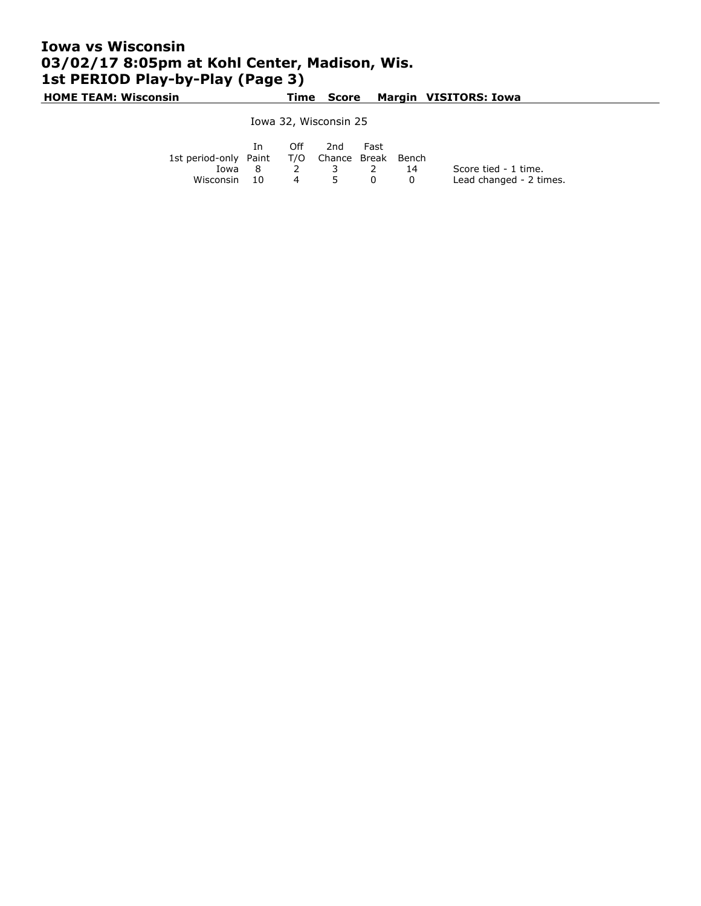# Iowa vs Wisconsin 03/02/17 8:05pm at Kohl Center, Madison, Wis. 1st PERIOD Play-by-Play (Page 3)

HOME TEAM: Wisconsin Time Score Margin VISITORS: Iowa

Iowa 32, Wisconsin 25

|                                              | In 1   |          | Off 2nd Fast |   |                         |
|----------------------------------------------|--------|----------|--------------|---|-------------------------|
| 1st period-only Paint T/O Chance Break Bench |        |          |              |   |                         |
|                                              | Iowa 8 |          | 2 3 2 14     |   | Score tied - 1 time.    |
| Wisconsin 10                                 |        | $\sim$ 4 | $5^{\circ}$  | 0 | Lead changed - 2 times. |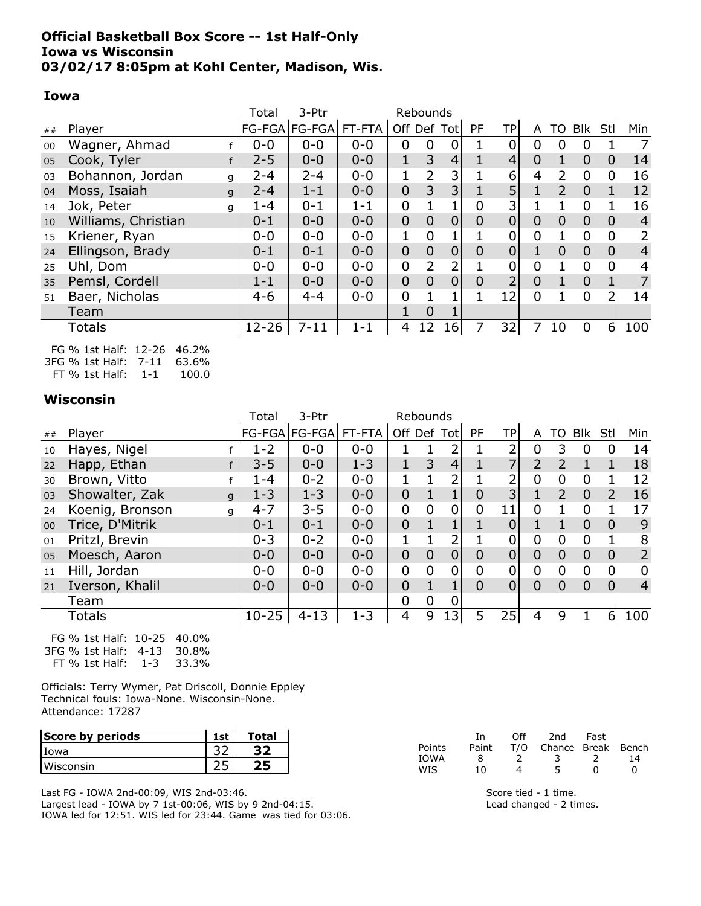### Official Basketball Box Score -- 1st Half-Only Iowa vs Wisconsin 03/02/17 8:05pm at Kohl Center, Madison, Wis.

#### Iowa

|    |                       | Total     | 3-Ptr                | Rebounds |                |                |                 |                |                |                |                |                |                |                |
|----|-----------------------|-----------|----------------------|----------|----------------|----------------|-----------------|----------------|----------------|----------------|----------------|----------------|----------------|----------------|
| ## | Player                |           | FG-FGA FG-FGA FT-FTA |          |                |                | Off Def Tot     | <b>PF</b>      | <b>TP</b>      | A              | TO             | <b>Blk</b>     | Stl            | Min            |
| 00 | Wagner, Ahmad         | $0 - 0$   | $0 - 0$              | $0 - 0$  | $\mathbf 0$    | 0              | 0               |                | 0              | 0              | 0              | 0              |                | 7              |
| 05 | Cook, Tyler           | $2 - 5$   | $0 - 0$              | $0 - 0$  | $\mathbf 1$    | 3              | 4               |                | $\overline{4}$ | $\mathbf{0}$   | $\mathbf{1}$   | $\overline{0}$ | $\overline{0}$ | 14             |
| 03 | Bohannon, Jordan<br>g | $2 - 4$   | $2 - 4$              | $0 - 0$  | $\mathbf 1$    | $\overline{2}$ | 3               |                | 6              | 4              | $\overline{2}$ | $\overline{0}$ | 0              | 16             |
| 04 | Moss, Isaiah<br>q     | $2 - 4$   | $1 - 1$              | $0 - 0$  | $\overline{0}$ | 3              | 3               |                | 5              |                | $\overline{2}$ | $\overline{0}$ |                | 12             |
| 14 | Jok, Peter<br>q       | $1 - 4$   | $0 - 1$              | $1 - 1$  | $\mathbf 0$    |                |                 | 0              | 3              |                |                | 0              |                | 16             |
| 10 | Williams, Christian   | $0 - 1$   | $0 - 0$              | $0 - 0$  | $\overline{0}$ | $\overline{0}$ | $\overline{0}$  | $\overline{0}$ | $\overline{0}$ | $\Omega$       | $\overline{0}$ | $\overline{0}$ | $\overline{0}$ | $\overline{4}$ |
| 15 | Kriener, Ryan         | $0 - 0$   | $0 - 0$              | $0 - 0$  | 1              | 0              |                 |                | 0              | 0              |                | $\Omega$       | 0              | 2              |
| 24 | Ellingson, Brady      | $0 - 1$   | $0 - 1$              | $0 - 0$  | $\overline{0}$ | $\overline{0}$ | $\overline{0}$  | $\overline{0}$ | $\overline{0}$ |                | $\overline{0}$ | $\overline{0}$ | $\mathbf 0$    | $\overline{4}$ |
| 25 | Uhl, Dom              | $0 - 0$   | $0 - 0$              | $0 - 0$  | $\mathbf 0$    | $\overline{2}$ |                 |                | 0              | 0              |                | $\Omega$       | 0              | 4              |
| 35 | Pemsl, Cordell        | $1 - 1$   | $0 - 0$              | $0 - 0$  | $\overline{0}$ | $\overline{0}$ | $\overline{0}$  | $\overline{0}$ | $\overline{2}$ | $\overline{0}$ |                | $\overline{0}$ |                | 7              |
| 51 | Baer, Nicholas        | $4 - 6$   | $4 - 4$              | $0 - 0$  | $\overline{0}$ |                |                 |                | 12             | $\Omega$       |                | $\Omega$       | 2              | 14             |
|    | Team                  |           |                      |          | 1              | 0              |                 |                |                |                |                |                |                |                |
|    | <b>Totals</b>         | $12 - 26$ | $7 - 11$             | $1 - 1$  | 4              | 12             | 16 <sup>1</sup> | 7              | 32             |                | 10             | 0              | 6              | 100            |
|    |                       |           |                      |          |                |                |                 |                |                |                |                |                |                |                |

FG % 1st Half: 12-26 46.2% 3FG % 1st Half: 7-11 63.6% FT % 1st Half: 1-1 100.0

#### **Wisconsin**

|    |                      | Total     | 3-Ptr         | Rebounds |                |                |                |                |    |                |                |                |                |                |
|----|----------------------|-----------|---------------|----------|----------------|----------------|----------------|----------------|----|----------------|----------------|----------------|----------------|----------------|
| ## | Player               |           | FG-FGA FG-FGA | FT-FTA   |                |                | Off Def Tot    | <b>PF</b>      | TP | A              |                | TO Blk         | Stl            | Min            |
| 10 | Hayes, Nigel         | $1 - 2$   | $0 - 0$       | $0 - 0$  |                |                |                |                | า  | 0              | 3              | 0              | 0              | 14             |
| 22 | Happ, Ethan          | $3 - 5$   | $0 - 0$       | $1 - 3$  | 1              | 3              | 4              |                |    | $\overline{2}$ | 2              |                |                | 18             |
| 30 | Brown, Vitto         | 1-4       | $0 - 2$       | $0 - 0$  |                |                | 2              |                |    | $\overline{0}$ | 0              | 0              |                | 12             |
| 03 | Showalter, Zak<br>g  | $1 - 3$   | $1 - 3$       | $0 - 0$  | $\overline{0}$ |                |                | $\overline{0}$ | 3  |                | $\overline{2}$ | $\overline{0}$ | 2              | 16             |
| 24 | Koenig, Bronson<br>g | $4 - 7$   | $3 - 5$       | $0 - 0$  | 0              | $\overline{0}$ | 0              | $\overline{0}$ | 11 | 0              |                | 0              |                | 17             |
| 00 | Trice, D'Mitrik      | $0 - 1$   | $0 - 1$       | $0 - 0$  | $\overline{0}$ |                |                |                |    |                |                | $\Omega$       | 0              | 9              |
| 01 | Pritzl, Brevin       | $0 - 3$   | $0 - 2$       | $0 - 0$  |                |                | 2              |                |    | 0              | $\overline{0}$ | 0              |                | 8              |
| 05 | Moesch, Aaron        | $0 - 0$   | $0 - 0$       | $0 - 0$  | $\overline{0}$ | $\overline{0}$ | $\overline{0}$ | $\overline{0}$ |    | $\overline{0}$ | $\overline{0}$ | $\overline{0}$ | $\overline{0}$ | $\overline{2}$ |
| 11 | Hill, Jordan         | $0 - 0$   | $0 - 0$       | $0 - 0$  | 0              | $\mathbf 0$    | 0              | $\overline{0}$ | 0  | $\mathbf 0$    | 0              | 0              | 0              | $\overline{0}$ |
| 21 | Iverson, Khalil      | $0 - 0$   | $0 - 0$       | $0 - 0$  | $\overline{0}$ | $\mathbf{1}$   |                | $\Omega$       | 0  | $\Omega$       | $\Omega$       | $\Omega$       | $\overline{0}$ | $\overline{4}$ |
|    | Team                 |           |               |          | 0              | 0              | 0              |                |    |                |                |                |                |                |
|    | Totals               | $10 - 25$ | $4 - 13$      | $1 - 3$  | 4              | 9              | 13             | 5              | 25 | 4              | 9              |                | 6              | 100            |

FG % 1st Half: 10-25 40.0% 3FG % 1st Half: 4-13 30.8% FT  $%$  1st Half: 1-3

Officials: Terry Wymer, Pat Driscoll, Donnie Eppley Technical fouls: Iowa-None. Wisconsin-None. Attendance: 17287

| Score by periods | 1st           | Total |        |       | -In | Off | 2 <sub>nd</sub> | Fast            |       |
|------------------|---------------|-------|--------|-------|-----|-----|-----------------|-----------------|-------|
| Iowa             | $\sim$<br>ے ر |       | Points | Paint |     | T/O |                 | Chance<br>Break | Bench |
|                  | つに            |       | IOWA   |       |     |     |                 |                 |       |
| Wisconsin        | <u>_ _</u>    |       | WIS    | ∸     |     |     |                 |                 |       |

Last FG - IOWA 2nd-00:09, WIS 2nd-03:46. Largest lead - IOWA by 7 1st-00:06, WIS by 9 2nd-04:15. IOWA led for 12:51. WIS led for 23:44. Game was tied for 03:06. Score tied - 1 time. Lead changed - 2 times.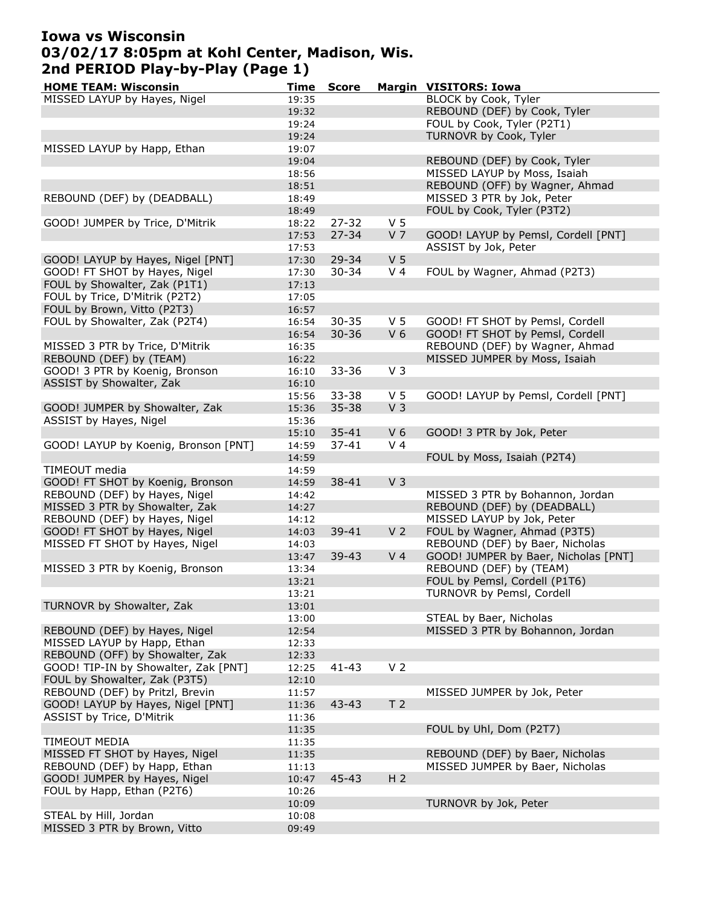# Iowa vs Wisconsin 03/02/17 8:05pm at Kohl Center, Madison, Wis. 2nd PERIOD Play-by-Play (Page 1)

| <b>HOME TEAM: Wisconsin</b>          | Time  | <b>Score</b> |                | <b>Margin VISITORS: Iowa</b>         |
|--------------------------------------|-------|--------------|----------------|--------------------------------------|
| MISSED LAYUP by Hayes, Nigel         | 19:35 |              |                | BLOCK by Cook, Tyler                 |
|                                      | 19:32 |              |                | REBOUND (DEF) by Cook, Tyler         |
|                                      | 19:24 |              |                | FOUL by Cook, Tyler (P2T1)           |
|                                      | 19:24 |              |                | TURNOVR by Cook, Tyler               |
| MISSED LAYUP by Happ, Ethan          | 19:07 |              |                |                                      |
|                                      | 19:04 |              |                | REBOUND (DEF) by Cook, Tyler         |
|                                      | 18:56 |              |                | MISSED LAYUP by Moss, Isaiah         |
|                                      | 18:51 |              |                | REBOUND (OFF) by Wagner, Ahmad       |
| REBOUND (DEF) by (DEADBALL)          | 18:49 |              |                | MISSED 3 PTR by Jok, Peter           |
|                                      |       |              |                | FOUL by Cook, Tyler (P3T2)           |
|                                      | 18:49 |              |                |                                      |
| GOOD! JUMPER by Trice, D'Mitrik      | 18:22 | $27 - 32$    | V <sub>5</sub> |                                      |
|                                      | 17:53 | $27 - 34$    | V <sub>7</sub> | GOOD! LAYUP by Pemsl, Cordell [PNT]  |
|                                      | 17:53 |              |                | ASSIST by Jok, Peter                 |
| GOOD! LAYUP by Hayes, Nigel [PNT]    | 17:30 | 29-34        | V <sub>5</sub> |                                      |
| GOOD! FT SHOT by Hayes, Nigel        | 17:30 | $30 - 34$    | V <sub>4</sub> | FOUL by Wagner, Ahmad (P2T3)         |
| FOUL by Showalter, Zak (P1T1)        | 17:13 |              |                |                                      |
| FOUL by Trice, D'Mitrik (P2T2)       | 17:05 |              |                |                                      |
| FOUL by Brown, Vitto (P2T3)          | 16:57 |              |                |                                      |
| FOUL by Showalter, Zak (P2T4)        | 16:54 | $30 - 35$    | V <sub>5</sub> | GOOD! FT SHOT by Pemsl, Cordell      |
|                                      | 16:54 | $30 - 36$    | V <sub>6</sub> | GOOD! FT SHOT by Pemsl, Cordell      |
| MISSED 3 PTR by Trice, D'Mitrik      | 16:35 |              |                | REBOUND (DEF) by Wagner, Ahmad       |
| REBOUND (DEF) by (TEAM)              | 16:22 |              |                | MISSED JUMPER by Moss, Isaiah        |
| GOOD! 3 PTR by Koenig, Bronson       | 16:10 | $33 - 36$    | V <sub>3</sub> |                                      |
| ASSIST by Showalter, Zak             | 16:10 |              |                |                                      |
|                                      |       | $33 - 38$    | V <sub>5</sub> | GOOD! LAYUP by Pemsl, Cordell [PNT]  |
|                                      | 15:56 |              |                |                                      |
| GOOD! JUMPER by Showalter, Zak       | 15:36 | $35 - 38$    | V <sub>3</sub> |                                      |
| ASSIST by Hayes, Nigel               | 15:36 |              |                |                                      |
|                                      | 15:10 | $35 - 41$    | V <sub>6</sub> | GOOD! 3 PTR by Jok, Peter            |
| GOOD! LAYUP by Koenig, Bronson [PNT] | 14:59 | $37 - 41$    | V <sub>4</sub> |                                      |
|                                      | 14:59 |              |                | FOUL by Moss, Isaiah (P2T4)          |
| TIMEOUT media                        | 14:59 |              |                |                                      |
| GOOD! FT SHOT by Koenig, Bronson     | 14:59 | 38-41        | V <sub>3</sub> |                                      |
| REBOUND (DEF) by Hayes, Nigel        | 14:42 |              |                | MISSED 3 PTR by Bohannon, Jordan     |
| MISSED 3 PTR by Showalter, Zak       | 14:27 |              |                | REBOUND (DEF) by (DEADBALL)          |
| REBOUND (DEF) by Hayes, Nigel        | 14:12 |              |                | MISSED LAYUP by Jok, Peter           |
| GOOD! FT SHOT by Hayes, Nigel        | 14:03 | 39-41        | V <sub>2</sub> | FOUL by Wagner, Ahmad (P3T5)         |
| MISSED FT SHOT by Hayes, Nigel       | 14:03 |              |                | REBOUND (DEF) by Baer, Nicholas      |
|                                      | 13:47 | $39 - 43$    | V <sub>4</sub> | GOOD! JUMPER by Baer, Nicholas [PNT] |
| MISSED 3 PTR by Koenig, Bronson      | 13:34 |              |                | REBOUND (DEF) by (TEAM)              |
|                                      | 13:21 |              |                | FOUL by Pemsl, Cordell (P1T6)        |
|                                      | 13:21 |              |                | TURNOVR by Pemsl, Cordell            |
| TURNOVR by Showalter, Zak            |       |              |                |                                      |
|                                      | 13:01 |              |                |                                      |
|                                      | 13:00 |              |                | STEAL by Baer, Nicholas              |
| REBOUND (DEF) by Hayes, Nigel        | 12:54 |              |                | MISSED 3 PTR by Bohannon, Jordan     |
| MISSED LAYUP by Happ, Ethan          | 12:33 |              |                |                                      |
| REBOUND (OFF) by Showalter, Zak      | 12:33 |              |                |                                      |
| GOOD! TIP-IN by Showalter, Zak [PNT] | 12:25 | $41 - 43$    | V <sub>2</sub> |                                      |
| FOUL by Showalter, Zak (P3T5)        | 12:10 |              |                |                                      |
| REBOUND (DEF) by Pritzl, Brevin      | 11:57 |              |                | MISSED JUMPER by Jok, Peter          |
| GOOD! LAYUP by Hayes, Nigel [PNT]    | 11:36 | 43-43        | T <sub>2</sub> |                                      |
| ASSIST by Trice, D'Mitrik            | 11:36 |              |                |                                      |
|                                      | 11:35 |              |                | FOUL by Uhl, Dom (P2T7)              |
| TIMEOUT MEDIA                        | 11:35 |              |                |                                      |
| MISSED FT SHOT by Hayes, Nigel       | 11:35 |              |                | REBOUND (DEF) by Baer, Nicholas      |
| REBOUND (DEF) by Happ, Ethan         | 11:13 |              |                | MISSED JUMPER by Baer, Nicholas      |
| GOOD! JUMPER by Hayes, Nigel         | 10:47 | 45-43        | H <sub>2</sub> |                                      |
| FOUL by Happ, Ethan (P2T6)           | 10:26 |              |                |                                      |
|                                      | 10:09 |              |                | TURNOVR by Jok, Peter                |
|                                      |       |              |                |                                      |
| STEAL by Hill, Jordan                | 10:08 |              |                |                                      |
| MISSED 3 PTR by Brown, Vitto         | 09:49 |              |                |                                      |
|                                      |       |              |                |                                      |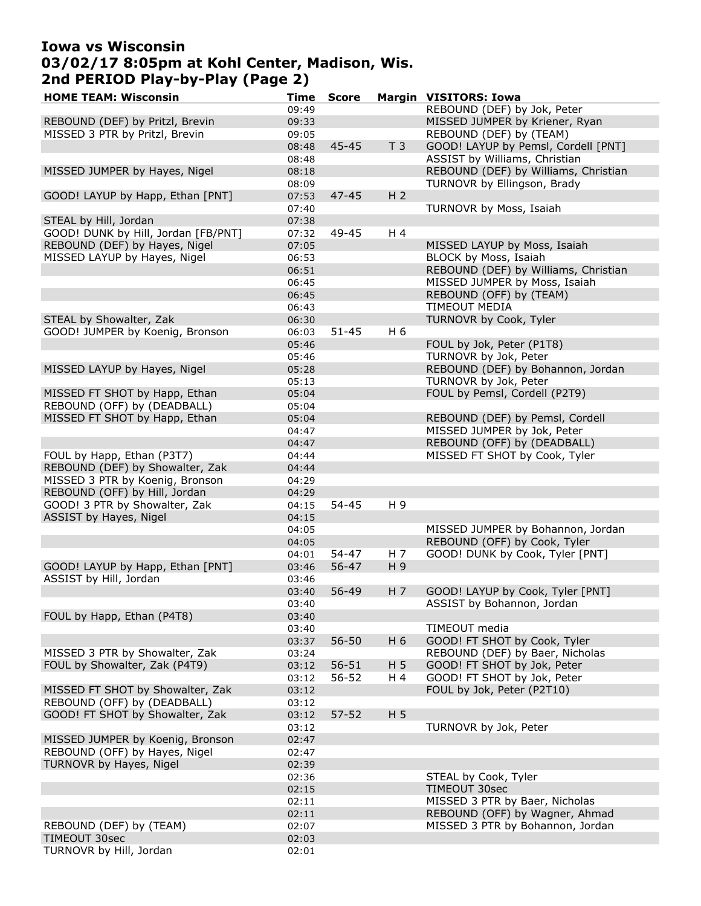## Iowa vs Wisconsin 03/02/17 8:05pm at Kohl Center, Madison, Wis. 2nd PERIOD Play-by-Play (Page 2)

| <b>HOME TEAM: Wisconsin</b>         | Time  | <b>Score</b> |                | <b>Margin VISITORS: Iowa</b>         |
|-------------------------------------|-------|--------------|----------------|--------------------------------------|
|                                     | 09:49 |              |                | REBOUND (DEF) by Jok, Peter          |
| REBOUND (DEF) by Pritzl, Brevin     | 09:33 |              |                | MISSED JUMPER by Kriener, Ryan       |
| MISSED 3 PTR by Pritzl, Brevin      | 09:05 |              |                | REBOUND (DEF) by (TEAM)              |
|                                     | 08:48 | $45 - 45$    | T <sub>3</sub> | GOOD! LAYUP by Pemsl, Cordell [PNT]  |
|                                     | 08:48 |              |                | ASSIST by Williams, Christian        |
| MISSED JUMPER by Hayes, Nigel       | 08:18 |              |                | REBOUND (DEF) by Williams, Christian |
|                                     |       |              |                |                                      |
|                                     | 08:09 |              |                | TURNOVR by Ellingson, Brady          |
| GOOD! LAYUP by Happ, Ethan [PNT]    | 07:53 | $47 - 45$    | H <sub>2</sub> |                                      |
|                                     | 07:40 |              |                | TURNOVR by Moss, Isaiah              |
| STEAL by Hill, Jordan               | 07:38 |              |                |                                      |
| GOOD! DUNK by Hill, Jordan [FB/PNT] | 07:32 | 49-45        | H 4            |                                      |
| REBOUND (DEF) by Hayes, Nigel       | 07:05 |              |                | MISSED LAYUP by Moss, Isaiah         |
| MISSED LAYUP by Hayes, Nigel        | 06:53 |              |                | BLOCK by Moss, Isaiah                |
|                                     | 06:51 |              |                | REBOUND (DEF) by Williams, Christian |
|                                     | 06:45 |              |                | MISSED JUMPER by Moss, Isaiah        |
|                                     | 06:45 |              |                | REBOUND (OFF) by (TEAM)              |
|                                     | 06:43 |              |                | <b>TIMEOUT MEDIA</b>                 |
|                                     |       |              |                |                                      |
| STEAL by Showalter, Zak             | 06:30 |              |                | TURNOVR by Cook, Tyler               |
| GOOD! JUMPER by Koenig, Bronson     | 06:03 | $51 - 45$    | H 6            |                                      |
|                                     | 05:46 |              |                | FOUL by Jok, Peter (P1T8)            |
|                                     | 05:46 |              |                | TURNOVR by Jok, Peter                |
| MISSED LAYUP by Hayes, Nigel        | 05:28 |              |                | REBOUND (DEF) by Bohannon, Jordan    |
|                                     | 05:13 |              |                | TURNOVR by Jok, Peter                |
| MISSED FT SHOT by Happ, Ethan       | 05:04 |              |                | FOUL by Pemsl, Cordell (P2T9)        |
| REBOUND (OFF) by (DEADBALL)         | 05:04 |              |                |                                      |
| MISSED FT SHOT by Happ, Ethan       | 05:04 |              |                | REBOUND (DEF) by Pemsl, Cordell      |
|                                     |       |              |                |                                      |
|                                     | 04:47 |              |                | MISSED JUMPER by Jok, Peter          |
|                                     | 04:47 |              |                | REBOUND (OFF) by (DEADBALL)          |
| FOUL by Happ, Ethan (P3T7)          | 04:44 |              |                | MISSED FT SHOT by Cook, Tyler        |
| REBOUND (DEF) by Showalter, Zak     | 04:44 |              |                |                                      |
| MISSED 3 PTR by Koenig, Bronson     | 04:29 |              |                |                                      |
| REBOUND (OFF) by Hill, Jordan       | 04:29 |              |                |                                      |
| GOOD! 3 PTR by Showalter, Zak       | 04:15 | $54 - 45$    | H 9            |                                      |
| ASSIST by Hayes, Nigel              | 04:15 |              |                |                                      |
|                                     | 04:05 |              |                | MISSED JUMPER by Bohannon, Jordan    |
|                                     | 04:05 |              |                | REBOUND (OFF) by Cook, Tyler         |
|                                     | 04:01 | $54 - 47$    | H <sub>7</sub> | GOOD! DUNK by Cook, Tyler [PNT]      |
| GOOD! LAYUP by Happ, Ethan [PNT]    | 03:46 | $56 - 47$    | H 9            |                                      |
| ASSIST by Hill, Jordan              | 03:46 |              |                |                                      |
|                                     |       |              |                |                                      |
|                                     | 03:40 | 56-49        | H 7            | GOOD! LAYUP by Cook, Tyler [PNT]     |
|                                     | 03:40 |              |                | ASSIST by Bohannon, Jordan           |
| FOUL by Happ, Ethan (P4T8)          | 03:40 |              |                |                                      |
|                                     | 03:40 |              |                | TIMEOUT media                        |
|                                     | 03:37 | 56-50        | H 6            | GOOD! FT SHOT by Cook, Tyler         |
| MISSED 3 PTR by Showalter, Zak      | 03:24 |              |                | REBOUND (DEF) by Baer, Nicholas      |
| FOUL by Showalter, Zak (P4T9)       | 03:12 | $56 - 51$    | H <sub>5</sub> | GOOD! FT SHOT by Jok, Peter          |
|                                     | 03:12 | $56 - 52$    | H 4            | GOOD! FT SHOT by Jok, Peter          |
| MISSED FT SHOT by Showalter, Zak    | 03:12 |              |                | FOUL by Jok, Peter (P2T10)           |
| REBOUND (OFF) by (DEADBALL)         | 03:12 |              |                |                                      |
|                                     |       |              |                |                                      |
| GOOD! FT SHOT by Showalter, Zak     | 03:12 | $57 - 52$    | H <sub>5</sub> |                                      |
|                                     | 03:12 |              |                | TURNOVR by Jok, Peter                |
| MISSED JUMPER by Koenig, Bronson    | 02:47 |              |                |                                      |
| REBOUND (OFF) by Hayes, Nigel       | 02:47 |              |                |                                      |
| TURNOVR by Hayes, Nigel             | 02:39 |              |                |                                      |
|                                     | 02:36 |              |                | STEAL by Cook, Tyler                 |
|                                     | 02:15 |              |                | TIMEOUT 30sec                        |
|                                     | 02:11 |              |                | MISSED 3 PTR by Baer, Nicholas       |
|                                     | 02:11 |              |                | REBOUND (OFF) by Wagner, Ahmad       |
| REBOUND (DEF) by (TEAM)             | 02:07 |              |                | MISSED 3 PTR by Bohannon, Jordan     |
|                                     |       |              |                |                                      |
| TIMEOUT 30sec                       | 02:03 |              |                |                                      |
| TURNOVR by Hill, Jordan             | 02:01 |              |                |                                      |
|                                     |       |              |                |                                      |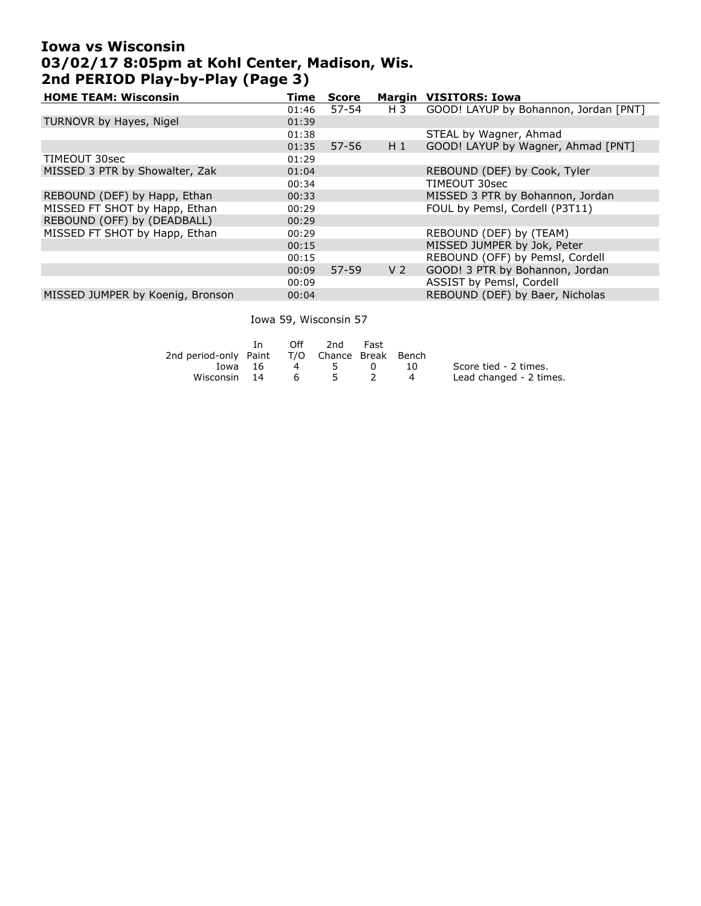# Iowa vs Wisconsin 03/02/17 8:05pm at Kohl Center, Madison, Wis. 2nd PERIOD Play-by-Play (Page 3)

| <b>HOME TEAM: Wisconsin</b>      | Time  | <b>Score</b> |                | <b>Margin VISITORS: Iowa</b>          |
|----------------------------------|-------|--------------|----------------|---------------------------------------|
|                                  | 01:46 | $57 - 54$    | H 3            | GOOD! LAYUP by Bohannon, Jordan [PNT] |
| TURNOVR by Hayes, Nigel          | 01:39 |              |                |                                       |
|                                  | 01:38 |              |                | STEAL by Wagner, Ahmad                |
|                                  | 01:35 | $57 - 56$    | $H_1$          | GOOD! LAYUP by Wagner, Ahmad [PNT]    |
| TIMEOUT 30sec                    | 01:29 |              |                |                                       |
| MISSED 3 PTR by Showalter, Zak   | 01:04 |              |                | REBOUND (DEF) by Cook, Tyler          |
|                                  | 00:34 |              |                | TIMEOUT 30sec                         |
| REBOUND (DEF) by Happ, Ethan     | 00:33 |              |                | MISSED 3 PTR by Bohannon, Jordan      |
| MISSED FT SHOT by Happ, Ethan    | 00:29 |              |                | FOUL by Pemsl, Cordell (P3T11)        |
| REBOUND (OFF) by (DEADBALL)      | 00:29 |              |                |                                       |
| MISSED FT SHOT by Happ, Ethan    | 00:29 |              |                | REBOUND (DEF) by (TEAM)               |
|                                  | 00:15 |              |                | MISSED JUMPER by Jok, Peter           |
|                                  | 00:15 |              |                | REBOUND (OFF) by Pemsl, Cordell       |
|                                  | 00:09 | $57 - 59$    | V <sub>2</sub> | GOOD! 3 PTR by Bohannon, Jordan       |
|                                  | 00:09 |              |                | ASSIST by Pemsl, Cordell              |
| MISSED JUMPER by Koenig, Bronson | 00:04 |              |                | REBOUND (DEF) by Baer, Nicholas       |
|                                  |       |              |                |                                       |

Iowa 59, Wisconsin 57

|                                              | Tn.     | Off      | 2nd            | Fast         |       |                         |
|----------------------------------------------|---------|----------|----------------|--------------|-------|-------------------------|
| 2nd period-only Paint T/O Chance Break Bench |         |          |                |              |       |                         |
|                                              | Iowa 16 | $\sim$ 4 | $5\overline{}$ | $\mathbf{0}$ | - 10- | Score tied - 2 times.   |
| Wisconsin 14                                 |         | - 6 -    | $5^{\circ}$    |              | 4     | Lead changed - 2 times. |